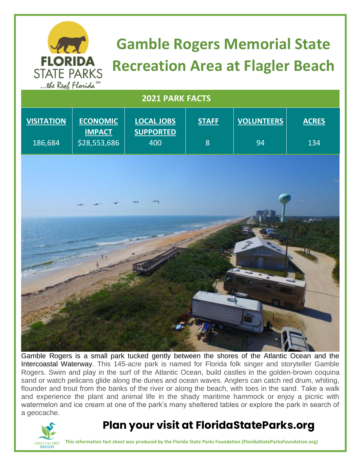

# **Gamble Rogers Memorial State Recreation Area at Flagler Beach**

| we have annot                |                                                  |                                              |                   |                         |                     |
|------------------------------|--------------------------------------------------|----------------------------------------------|-------------------|-------------------------|---------------------|
| 2021 PARK FACTS              |                                                  |                                              |                   |                         |                     |
| <b>VISITATION</b><br>186,684 | <b>ECONOMIC</b><br><b>IMPACT</b><br>\$28,553,686 | <b>LOCAL JOBS</b><br><b>SUPPORTED</b><br>400 | <b>STAFF</b><br>8 | <b>VOLUNTEERS</b><br>94 | <b>ACRES</b><br>134 |
|                              |                                                  |                                              |                   |                         |                     |
|                              |                                                  |                                              |                   |                         |                     |
|                              |                                                  |                                              |                   |                         |                     |
|                              |                                                  |                                              |                   |                         |                     |
|                              |                                                  |                                              |                   |                         |                     |
|                              |                                                  |                                              |                   |                         |                     |
|                              |                                                  |                                              |                   |                         |                     |
|                              |                                                  |                                              |                   |                         |                     |
|                              |                                                  |                                              |                   |                         |                     |

Gamble Rogers is a small park tucked gently between the shores of the Atlantic Ocean and the Intercoastal Waterway. This 145-acre park is named for Florida folk singer and storyteller Gamble Rogers. Swim and play in the surf of the Atlantic Ocean, build castles in the golden-brown coquina sand or watch pelicans glide along the dunes and ocean waves. Anglers can catch red drum, whiting, flounder and trout from the banks of the river or along the beach, with toes in the sand. Take a walk and experience the plant and animal life in the shady maritime hammock or enjoy a picnic with watermelon and ice cream at one of the park's many sheltered tables or explore the park in search of a geocache.



### **Plan your visit at FloridaStateParks.org**

**This information fact sheet was produced by the Florida State Parks Foundation (FloridaStateParksFoundation.org)**